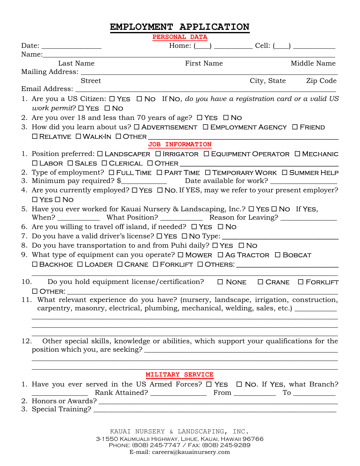# EMPLOYMENT APPLICATION

|                                   | PERSONAL DATA                                                                                                                                                                     |                                          |                      |
|-----------------------------------|-----------------------------------------------------------------------------------------------------------------------------------------------------------------------------------|------------------------------------------|----------------------|
|                                   | $Home: (\_\_\_)$ $Cell: (\_\_)$                                                                                                                                                   |                                          |                      |
|                                   |                                                                                                                                                                                   |                                          |                      |
| Last Name                         | First Name                                                                                                                                                                        |                                          | Middle Name          |
|                                   |                                                                                                                                                                                   |                                          |                      |
| Street                            |                                                                                                                                                                                   |                                          | City, State Zip Code |
|                                   |                                                                                                                                                                                   |                                          |                      |
| work permit? $\Box$ YES $\Box$ NO | 1. Are you a US Citizen: $\Box$ YES $\Box$ NO If NO, do you have a registration card or a valid US                                                                                |                                          |                      |
|                                   | 2. Are you over 18 and less than 70 years of age? $\Box$ YES $\Box$ NO                                                                                                            |                                          |                      |
|                                   | 3. How did you learn about us? O ADVERTISEMENT O EMPLOYMENT AGENCY O FRIEND                                                                                                       |                                          |                      |
|                                   |                                                                                                                                                                                   |                                          |                      |
|                                   | <b>JOB INFORMATION</b>                                                                                                                                                            |                                          |                      |
|                                   | 1. Position preferred: O LANDSCAPER O IRRIGATOR O EQUIPMENT OPERATOR O MECHANIC                                                                                                   |                                          |                      |
|                                   | O LABOR O SALES O CLERICAL O OTHER                                                                                                                                                |                                          |                      |
|                                   | 2. Type of employment? O FULL TIME O PART TIME O TEMPORARY WORK O SUMMER HELP                                                                                                     |                                          |                      |
| $\Box$ YES $\Box$ No              | 4. Are you currently employed? $\Box$ YES $\Box$ NO. If YES, may we refer to your present employer?                                                                               |                                          |                      |
|                                   | 5. Have you ever worked for Kauai Nursery & Landscaping, Inc.? □ YES □ NO If YES,                                                                                                 |                                          |                      |
|                                   | 6. Are you willing to travel off island, if needed? $\Box$ YES $\Box$ NO                                                                                                          |                                          |                      |
|                                   |                                                                                                                                                                                   |                                          |                      |
|                                   | 8. Do you have transportation to and from Puhi daily? $\Box$ YES $\Box$ NO                                                                                                        |                                          |                      |
|                                   | 9. What type of equipment can you operate? $\square$ MOWER $\square$ AG TRACTOR $\square$ BOBCAT                                                                                  |                                          |                      |
|                                   | □ BACKHOE □ LOADER □ CRANE □ FORKLIFT □ OTHERS: ________________________________                                                                                                  |                                          |                      |
| 10.<br>$\square$ OTHER: $\square$ | Do you hold equipment license/certification?                                                                                                                                      | $\Box$ NONE $\Box$ CRANE $\Box$ FORKLIFT |                      |
|                                   | 11. What relevant experience do you have? (nursery, landscape, irrigation, construction,<br>carpentry, masonry, electrical, plumbing, mechanical, welding, sales, etc.) _________ |                                          |                      |
| 12.                               | Other special skills, knowledge or abilities, which support your qualifications for the<br>position which you, are seeking?                                                       |                                          |                      |
|                                   | <b>MILITARY SERVICE</b>                                                                                                                                                           |                                          |                      |
|                                   | 1. Have you ever served in the US Armed Forces? $\Box$ YES $\Box$ NO. If YES, what Branch?                                                                                        |                                          |                      |
|                                   | 2. Honors or Awards?                                                                                                                                                              |                                          |                      |
|                                   |                                                                                                                                                                                   |                                          |                      |
|                                   |                                                                                                                                                                                   |                                          |                      |
|                                   | KAUAI NURSERY & LANDSCAPING, INC                                                                                                                                                  |                                          |                      |

KAUAI NURSERY & LANDSCAPING, INC. 3-1550 Kaumualii Highway, Lihue, Kauai, Hawaii 96766 Phone: (808) 245-7747 / Fax: (808) 245-9289 E-mail: careers@kauainursery.com